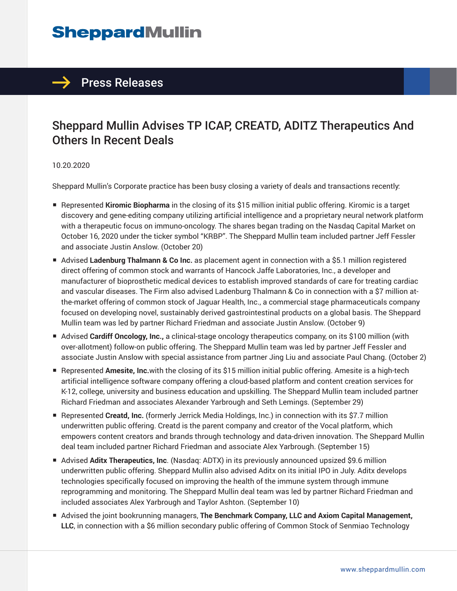# **SheppardMullin**



## Sheppard Mullin Advises TP ICAP, CREATD, ADITZ Therapeutics And Others In Recent Deals

#### 10.20.2020

Sheppard Mullin's Corporate practice has been busy closing a variety of deals and transactions recently:

- Represented Kiromic Biopharma in the closing of its \$15 million initial public offering. Kiromic is a target discovery and gene-editing company utilizing artificial intelligence and a proprietary neural network platform with a therapeutic focus on immuno-oncology. The shares began trading on the Nasdaq Capital Market on October 16, 2020 under the ticker symbol "KRBP". The Sheppard Mullin team included partner Jeff Fessler and associate Justin Anslow. (October 20)
- Advised Ladenburg Thalmann & Co Inc. as placement agent in connection with a \$5.1 million registered direct offering of common stock and warrants of Hancock Jaffe Laboratories, Inc., a developer and manufacturer of bioprosthetic medical devices to establish improved standards of care for treating cardiac and vascular diseases. The Firm also advised Ladenburg Thalmann & Co in connection with a \$7 million atthe-market offering of common stock of Jaguar Health, Inc., a commercial stage pharmaceuticals company focused on developing novel, sustainably derived gastrointestinal products on a global basis. The Sheppard Mullin team was led by partner Richard Friedman and associate Justin Anslow. (October 9)
- Advised **Cardiff Oncology, Inc.**, a clinical-stage oncology therapeutics company, on its \$100 million (with over-allotment) follow-on public offering. The Sheppard Mullin team was led by partner Jeff Fessler and associate Justin Anslow with special assistance from partner Jing Liu and associate Paul Chang. (October 2)
- Represented **Amesite, Inc.**with the closing of its \$15 million initial public offering. Amesite is a high-tech artificial intelligence software company offering a cloud-based platform and content creation services for K-12, college, university and business education and upskilling. The Sheppard Mullin team included partner Richard Friedman and associates Alexander Yarbrough and Seth Lemings. (September 29)
- Represented Creatd, Inc. (formerly Jerrick Media Holdings, Inc.) in connection with its \$7.7 million underwritten public offering. Creatd is the parent company and creator of the Vocal platform, which empowers content creators and brands through technology and data-driven innovation. The Sheppard Mullin deal team included partner Richard Friedman and associate Alex Yarbrough. (September 15)
- Advised **Aditx Therapeutics, Inc.** (Nasdaq: ADTX) in its previously announced upsized \$9.6 million underwritten public offering. Sheppard Mullin also advised Aditx on its initial IPO in July. Aditx develops technologies specifically focused on improving the health of the immune system through immune reprogramming and monitoring. The Sheppard Mullin deal team was led by partner Richard Friedman and included associates Alex Yarbrough and Taylor Ashton. (September 10)
- Advised the joint bookrunning managers, **The Benchmark Company, LLC and Axiom Capital Management, LLC**, in connection with a \$6 million secondary public offering of Common Stock of Senmiao Technology